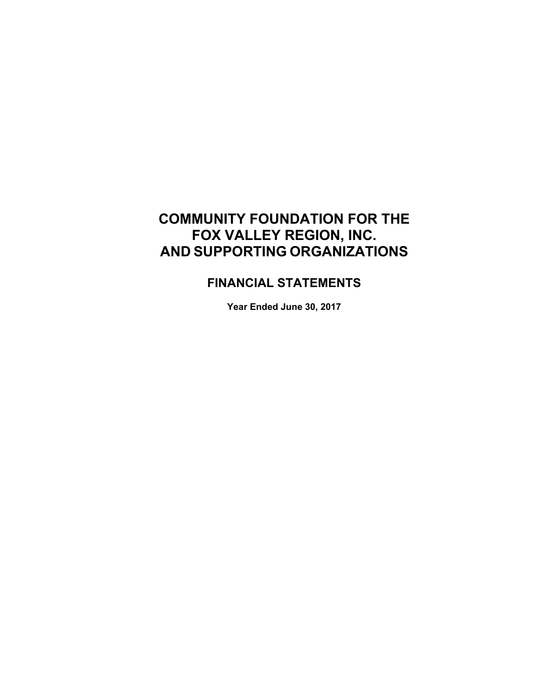# **FINANCIAL STATEMENTS**

**Year Ended June 30, 2017**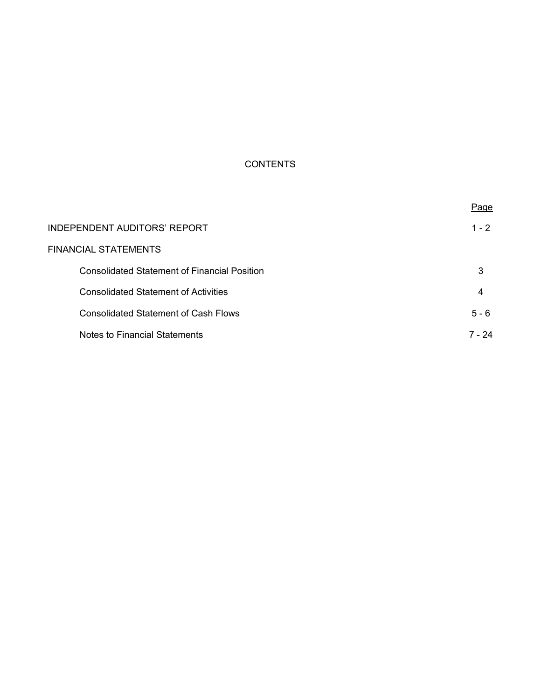# CONTENTS

|                                                     | Page    |
|-----------------------------------------------------|---------|
| INDEPENDENT AUDITORS' REPORT                        | $1 - 2$ |
| <b>FINANCIAL STATEMENTS</b>                         |         |
| <b>Consolidated Statement of Financial Position</b> | 3       |
| <b>Consolidated Statement of Activities</b>         | 4       |
| Consolidated Statement of Cash Flows                | $5 - 6$ |
| Notes to Financial Statements                       | 7 - 24  |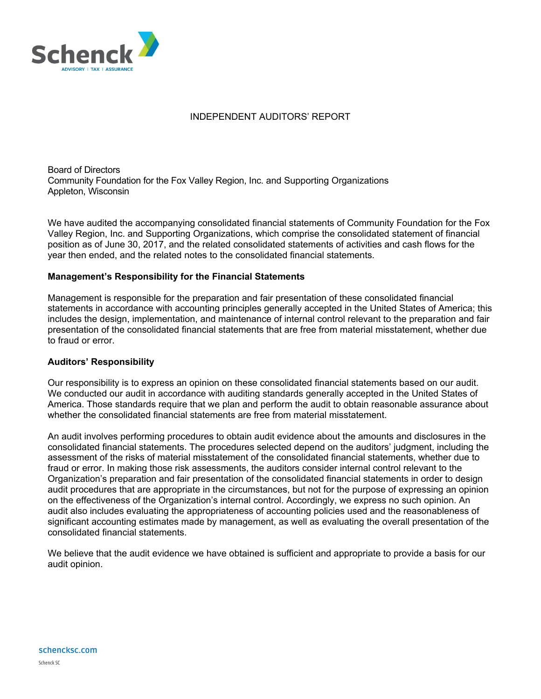

# INDEPENDENT AUDITORS' REPORT

Board of Directors Community Foundation for the Fox Valley Region, Inc. and Supporting Organizations Appleton, Wisconsin

We have audited the accompanying consolidated financial statements of Community Foundation for the Fox Valley Region, Inc. and Supporting Organizations, which comprise the consolidated statement of financial position as of June 30, 2017, and the related consolidated statements of activities and cash flows for the year then ended, and the related notes to the consolidated financial statements.

# **Management's Responsibility for the Financial Statements**

Management is responsible for the preparation and fair presentation of these consolidated financial statements in accordance with accounting principles generally accepted in the United States of America; this includes the design, implementation, and maintenance of internal control relevant to the preparation and fair presentation of the consolidated financial statements that are free from material misstatement, whether due to fraud or error.

# **Auditors' Responsibility**

Our responsibility is to express an opinion on these consolidated financial statements based on our audit. We conducted our audit in accordance with auditing standards generally accepted in the United States of America. Those standards require that we plan and perform the audit to obtain reasonable assurance about whether the consolidated financial statements are free from material misstatement.

An audit involves performing procedures to obtain audit evidence about the amounts and disclosures in the consolidated financial statements. The procedures selected depend on the auditors' judgment, including the assessment of the risks of material misstatement of the consolidated financial statements, whether due to fraud or error. In making those risk assessments, the auditors consider internal control relevant to the Organization's preparation and fair presentation of the consolidated financial statements in order to design audit procedures that are appropriate in the circumstances, but not for the purpose of expressing an opinion on the effectiveness of the Organization's internal control. Accordingly, we express no such opinion. An audit also includes evaluating the appropriateness of accounting policies used and the reasonableness of significant accounting estimates made by management, as well as evaluating the overall presentation of the consolidated financial statements.

We believe that the audit evidence we have obtained is sufficient and appropriate to provide a basis for our audit opinion.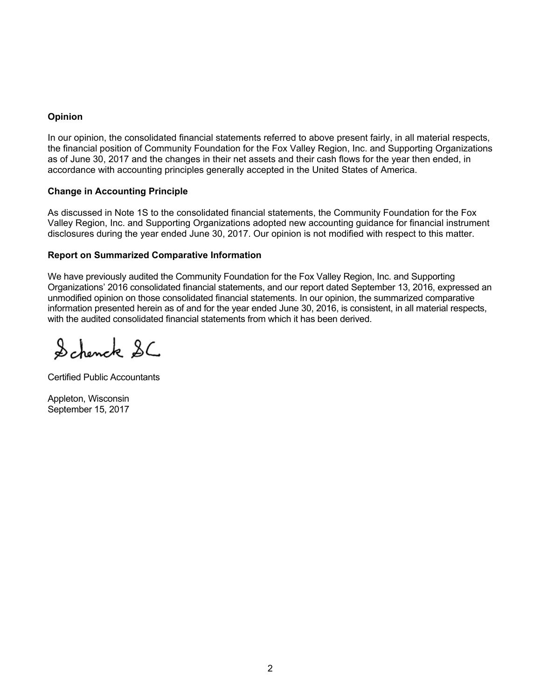# **Opinion**

In our opinion, the consolidated financial statements referred to above present fairly, in all material respects, the financial position of Community Foundation for the Fox Valley Region, Inc. and Supporting Organizations as of June 30, 2017 and the changes in their net assets and their cash flows for the year then ended, in accordance with accounting principles generally accepted in the United States of America.

# **Change in Accounting Principle**

As discussed in Note 1S to the consolidated financial statements, the Community Foundation for the Fox Valley Region, Inc. and Supporting Organizations adopted new accounting guidance for financial instrument disclosures during the year ended June 30, 2017. Our opinion is not modified with respect to this matter.

# **Report on Summarized Comparative Information**

We have previously audited the Community Foundation for the Fox Valley Region, Inc. and Supporting Organizations' 2016 consolidated financial statements, and our report dated September 13, 2016, expressed an unmodified opinion on those consolidated financial statements. In our opinion, the summarized comparative information presented herein as of and for the year ended June 30, 2016, is consistent, in all material respects, with the audited consolidated financial statements from which it has been derived.

Schenck SC

Certified Public Accountants

Appleton, Wisconsin September 15, 2017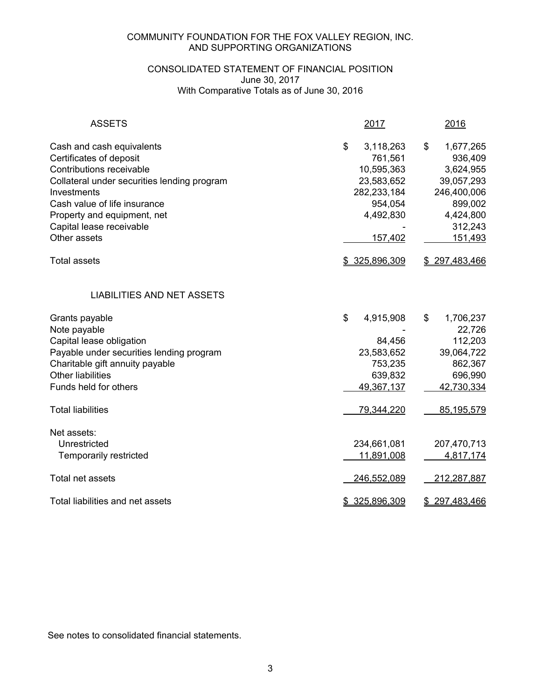# CONSOLIDATED STATEMENT OF FINANCIAL POSITION June 30, 2017 With Comparative Totals as of June 30, 2016

| <b>ASSETS</b>                                                                                                                                                                                                                                             | 2017                                                                                                     | 2016                                                                                                               |
|-----------------------------------------------------------------------------------------------------------------------------------------------------------------------------------------------------------------------------------------------------------|----------------------------------------------------------------------------------------------------------|--------------------------------------------------------------------------------------------------------------------|
| Cash and cash equivalents<br>Certificates of deposit<br>Contributions receivable<br>Collateral under securities lending program<br>Investments<br>Cash value of life insurance<br>Property and equipment, net<br>Capital lease receivable<br>Other assets | \$<br>3,118,263<br>761,561<br>10,595,363<br>23,583,652<br>282,233,184<br>954,054<br>4,492,830<br>157,402 | \$<br>1,677,265<br>936,409<br>3,624,955<br>39,057,293<br>246,400,006<br>899,002<br>4,424,800<br>312,243<br>151,493 |
| <b>Total assets</b>                                                                                                                                                                                                                                       | \$ 325,896,309                                                                                           | \$297,483,466                                                                                                      |
| <b>LIABILITIES AND NET ASSETS</b>                                                                                                                                                                                                                         |                                                                                                          |                                                                                                                    |
| Grants payable<br>Note payable<br>Capital lease obligation<br>Payable under securities lending program<br>Charitable gift annuity payable<br><b>Other liabilities</b><br>Funds held for others                                                            | \$<br>4,915,908<br>84,456<br>23,583,652<br>753,235<br>639,832<br>49,367,137                              | \$<br>1,706,237<br>22,726<br>112,203<br>39,064,722<br>862,367<br>696,990<br>42,730,334                             |
| <b>Total liabilities</b>                                                                                                                                                                                                                                  | 79,344,220                                                                                               | 85,195,579                                                                                                         |
| Net assets:<br>Unrestricted<br><b>Temporarily restricted</b>                                                                                                                                                                                              | 234,661,081<br>11,891,008                                                                                | 207,470,713<br>4,817,174                                                                                           |
| Total net assets                                                                                                                                                                                                                                          | 246,552,089                                                                                              | 212,287,887                                                                                                        |
| Total liabilities and net assets                                                                                                                                                                                                                          | \$ 325,896,309                                                                                           | \$297,483,466                                                                                                      |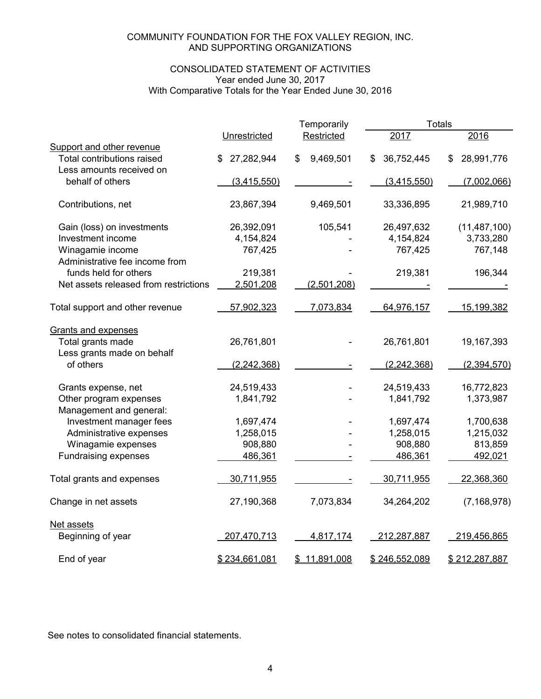# CONSOLIDATED STATEMENT OF ACTIVITIES Year ended June 30, 2017 With Comparative Totals for the Year Ended June 30, 2016

|                                                                                     |                  | Temporarily     | <b>Totals</b>    |                  |
|-------------------------------------------------------------------------------------|------------------|-----------------|------------------|------------------|
|                                                                                     | Unrestricted     | Restricted      | 2017             | 2016             |
| Support and other revenue<br>Total contributions raised<br>Less amounts received on | 27,282,944<br>\$ | 9,469,501<br>\$ | 36,752,445<br>\$ | 28,991,776<br>\$ |
| behalf of others                                                                    | (3,415,550)      |                 | (3,415,550)      | (7,002,066)      |
| Contributions, net                                                                  | 23,867,394       | 9,469,501       | 33,336,895       | 21,989,710       |
| Gain (loss) on investments                                                          | 26,392,091       | 105,541         | 26,497,632       | (11, 487, 100)   |
| Investment income                                                                   | 4,154,824        |                 | 4,154,824        | 3,733,280        |
| Winagamie income<br>Administrative fee income from                                  | 767,425          |                 | 767,425          | 767,148          |
| funds held for others                                                               | 219,381          |                 | 219,381          | 196,344          |
| Net assets released from restrictions                                               | 2,501,208        | (2,501,208)     |                  |                  |
| Total support and other revenue                                                     | 57,902,323       | 7,073,834       | 64,976,157       | 15,199,382       |
| <b>Grants and expenses</b>                                                          |                  |                 |                  |                  |
| Total grants made                                                                   | 26,761,801       |                 | 26,761,801       | 19,167,393       |
| Less grants made on behalf                                                          |                  |                 |                  |                  |
| of others                                                                           | (2,242,368)      |                 | (2,242,368)      | (2, 394, 570)    |
| Grants expense, net                                                                 | 24,519,433       |                 | 24,519,433       | 16,772,823       |
| Other program expenses<br>Management and general:                                   | 1,841,792        |                 | 1,841,792        | 1,373,987        |
| Investment manager fees                                                             | 1,697,474        |                 | 1,697,474        | 1,700,638        |
| Administrative expenses                                                             | 1,258,015        |                 | 1,258,015        | 1,215,032        |
| Winagamie expenses                                                                  | 908,880          |                 | 908,880          | 813,859          |
| <b>Fundraising expenses</b>                                                         | 486,361          |                 | 486,361          | 492,021          |
| Total grants and expenses                                                           | 30,711,955       |                 | 30,711,955       | 22,368,360       |
| Change in net assets                                                                | 27,190,368       | 7,073,834       | 34,264,202       | (7, 168, 978)    |
| Net assets                                                                          |                  |                 |                  |                  |
| Beginning of year                                                                   | 207,470,713      | 4,817,174       | 212,287,887      | 219,456,865      |
| End of year                                                                         | \$234,661,081    | \$11,891,008    | \$246,552,089    | \$212,287,887    |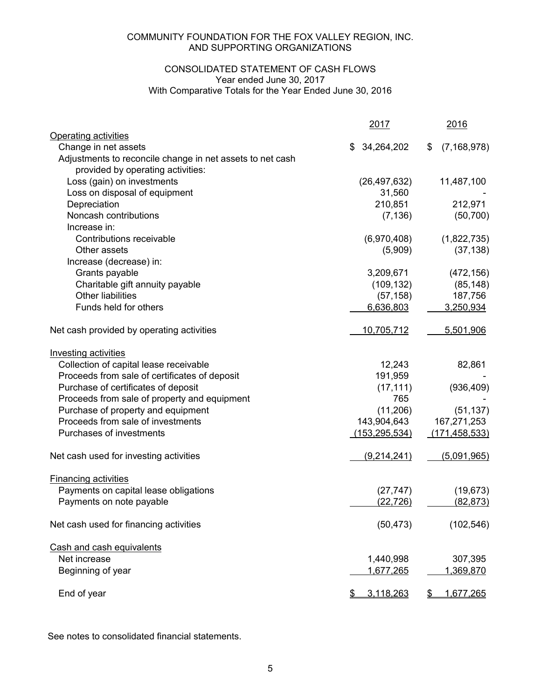# CONSOLIDATED STATEMENT OF CASH FLOWS Year ended June 30, 2017 With Comparative Totals for the Year Ended June 30, 2016

|                                                           | 2017             | 2016                   |
|-----------------------------------------------------------|------------------|------------------------|
| Operating activities                                      |                  |                        |
| Change in net assets                                      | 34,264,202<br>\$ | (7, 168, 978)<br>\$    |
| Adjustments to reconcile change in net assets to net cash |                  |                        |
| provided by operating activities:                         |                  |                        |
| Loss (gain) on investments                                | (26, 497, 632)   | 11,487,100             |
| Loss on disposal of equipment                             | 31,560           |                        |
| Depreciation                                              | 210,851          | 212,971                |
| Noncash contributions                                     | (7, 136)         | (50, 700)              |
| Increase in:                                              |                  |                        |
| Contributions receivable                                  | (6,970,408)      | (1,822,735)            |
| Other assets                                              | (5,909)          | (37, 138)              |
| Increase (decrease) in:                                   |                  |                        |
| Grants payable                                            | 3,209,671        | (472, 156)             |
| Charitable gift annuity payable                           | (109, 132)       | (85, 148)              |
| <b>Other liabilities</b>                                  | (57, 158)        | 187,756                |
| Funds held for others                                     | 6,636,803        | 3,250,934              |
| Net cash provided by operating activities                 | 10,705,712       | 5,501,906              |
| Investing activities                                      |                  |                        |
| Collection of capital lease receivable                    | 12,243           | 82,861                 |
| Proceeds from sale of certificates of deposit             | 191,959          |                        |
| Purchase of certificates of deposit                       | (17, 111)        | (936, 409)             |
| Proceeds from sale of property and equipment              | 765              |                        |
| Purchase of property and equipment                        | (11,206)         | (51, 137)              |
| Proceeds from sale of investments                         | 143,904,643      | 167,271,253            |
| Purchases of investments                                  | (153, 295, 534)  | (171, 458, 533)        |
| Net cash used for investing activities                    | (9,214,241)      | (5,091,965)            |
| <b>Financing activities</b>                               |                  |                        |
| Payments on capital lease obligations                     | (27, 747)        | (19, 673)              |
| Payments on note payable                                  | (22, 726)        | (82, 873)              |
|                                                           |                  |                        |
| Net cash used for financing activities                    | (50, 473)        | (102, 546)             |
| Cash and cash equivalents                                 |                  |                        |
| Net increase                                              | 1,440,998        | 307,395                |
| Beginning of year                                         | 1,677,265        | 1,369,870              |
| End of year                                               | 3,118,263<br>S   | \$<br><u>1,677,265</u> |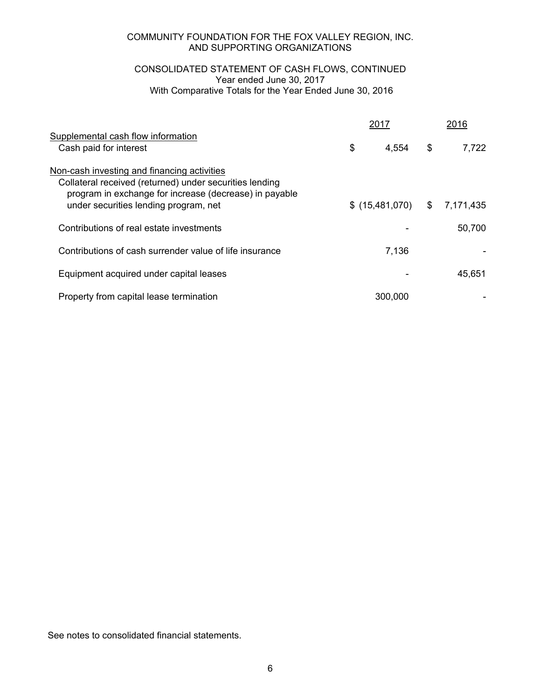# CONSOLIDATED STATEMENT OF CASH FLOWS, CONTINUED Year ended June 30, 2017 With Comparative Totals for the Year Ended June 30, 2016

|                                                                                                                                                                  | 2017           | 2016            |
|------------------------------------------------------------------------------------------------------------------------------------------------------------------|----------------|-----------------|
| Supplemental cash flow information<br>Cash paid for interest                                                                                                     | \$<br>4,554    | \$<br>7,722     |
| Non-cash investing and financing activities<br>Collateral received (returned) under securities lending<br>program in exchange for increase (decrease) in payable |                |                 |
| under securities lending program, net                                                                                                                            | \$(15,481,070) | \$<br>7,171,435 |
| Contributions of real estate investments                                                                                                                         |                | 50,700          |
| Contributions of cash surrender value of life insurance                                                                                                          | 7,136          |                 |
| Equipment acquired under capital leases                                                                                                                          |                | 45,651          |
| Property from capital lease termination                                                                                                                          | 300,000        |                 |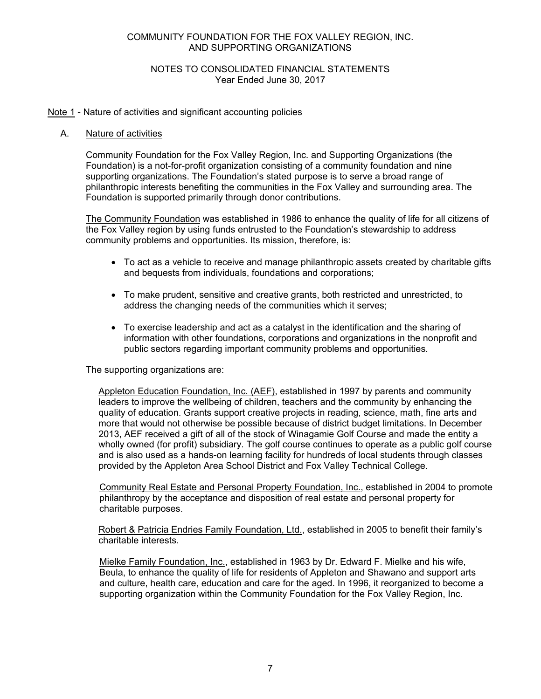# NOTES TO CONSOLIDATED FINANCIAL STATEMENTS Year Ended June 30, 2017

# Note 1 - Nature of activities and significant accounting policies

# A. Nature of activities

 Community Foundation for the Fox Valley Region, Inc. and Supporting Organizations (the Foundation) is a not-for-profit organization consisting of a community foundation and nine supporting organizations. The Foundation's stated purpose is to serve a broad range of philanthropic interests benefiting the communities in the Fox Valley and surrounding area. The Foundation is supported primarily through donor contributions.

 The Community Foundation was established in 1986 to enhance the quality of life for all citizens of the Fox Valley region by using funds entrusted to the Foundation's stewardship to address community problems and opportunities. Its mission, therefore, is:

- To act as a vehicle to receive and manage philanthropic assets created by charitable gifts and bequests from individuals, foundations and corporations;
- To make prudent, sensitive and creative grants, both restricted and unrestricted, to address the changing needs of the communities which it serves;
- To exercise leadership and act as a catalyst in the identification and the sharing of information with other foundations, corporations and organizations in the nonprofit and public sectors regarding important community problems and opportunities.

The supporting organizations are:

Appleton Education Foundation, Inc. (AEF), established in 1997 by parents and community leaders to improve the wellbeing of children, teachers and the community by enhancing the quality of education. Grants support creative projects in reading, science, math, fine arts and more that would not otherwise be possible because of district budget limitations. In December 2013, AEF received a gift of all of the stock of Winagamie Golf Course and made the entity a wholly owned (for profit) subsidiary. The golf course continues to operate as a public golf course and is also used as a hands-on learning facility for hundreds of local students through classes provided by the Appleton Area School District and Fox Valley Technical College.

 Community Real Estate and Personal Property Foundation, Inc., established in 2004 to promote philanthropy by the acceptance and disposition of real estate and personal property for charitable purposes.

Robert & Patricia Endries Family Foundation, Ltd., established in 2005 to benefit their family's charitable interests.

Mielke Family Foundation, Inc., established in 1963 by Dr. Edward F. Mielke and his wife, Beula, to enhance the quality of life for residents of Appleton and Shawano and support arts and culture, health care, education and care for the aged. In 1996, it reorganized to become a supporting organization within the Community Foundation for the Fox Valley Region, Inc.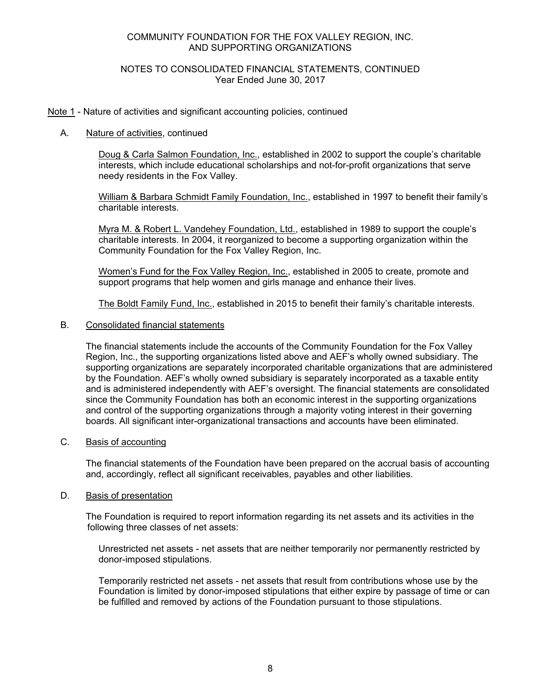# NOTES TO CONSOLIDATED FINANCIAL STATEMENTS, CONTINUED Year Ended June 30, 2017

## Note 1 - Nature of activities and significant accounting policies, continued

## A. Nature of activities, continued

Doug & Carla Salmon Foundation, Inc., established in 2002 to support the couple's charitable interests, which include educational scholarships and not-for-profit organizations that serve needy residents in the Fox Valley.

William & Barbara Schmidt Family Foundation, Inc., established in 1997 to benefit their family's charitable interests.

Myra M. & Robert L. Vandehey Foundation, Ltd., established in 1989 to support the couple's charitable interests. In 2004, it reorganized to become a supporting organization within the Community Foundation for the Fox Valley Region, Inc.

Women's Fund for the Fox Valley Region, Inc., established in 2005 to create, promote and support programs that help women and girls manage and enhance their lives.

The Boldt Family Fund, Inc., established in 2015 to benefit their family's charitable interests.

## B. Consolidated financial statements

 The financial statements include the accounts of the Community Foundation for the Fox Valley Region, Inc., the supporting organizations listed above and AEF's wholly owned subsidiary. The supporting organizations are separately incorporated charitable organizations that are administered by the Foundation. AEF's wholly owned subsidiary is separately incorporated as a taxable entity and is administered independently with AEF's oversight. The financial statements are consolidated since the Community Foundation has both an economic interest in the supporting organizations and control of the supporting organizations through a majority voting interest in their governing boards. All significant inter-organizational transactions and accounts have been eliminated.

#### C. Basis of accounting

The financial statements of the Foundation have been prepared on the accrual basis of accounting and, accordingly, reflect all significant receivables, payables and other liabilities.

### D. Basis of presentation

 The Foundation is required to report information regarding its net assets and its activities in the following three classes of net assets:

 Unrestricted net assets - net assets that are neither temporarily nor permanently restricted by donor-imposed stipulations.

Temporarily restricted net assets - net assets that result from contributions whose use by the Foundation is limited by donor-imposed stipulations that either expire by passage of time or can be fulfilled and removed by actions of the Foundation pursuant to those stipulations.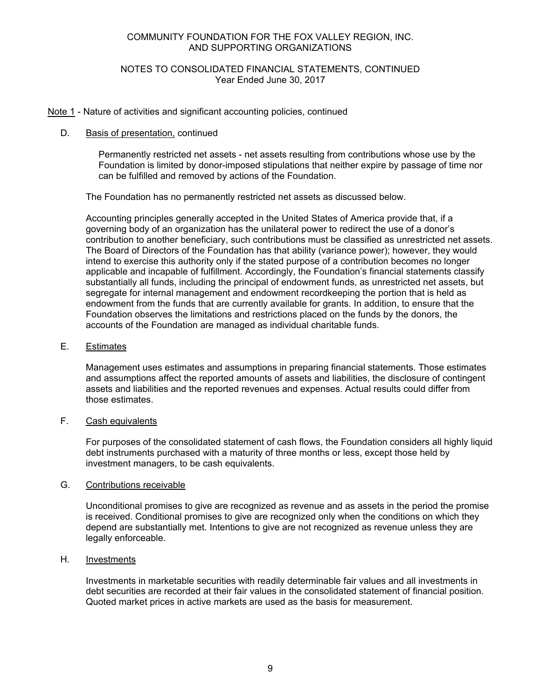# NOTES TO CONSOLIDATED FINANCIAL STATEMENTS, CONTINUED Year Ended June 30, 2017

## Note 1 - Nature of activities and significant accounting policies, continued

#### D. Basis of presentation, continued

Permanently restricted net assets - net assets resulting from contributions whose use by the Foundation is limited by donor-imposed stipulations that neither expire by passage of time nor can be fulfilled and removed by actions of the Foundation.

The Foundation has no permanently restricted net assets as discussed below.

Accounting principles generally accepted in the United States of America provide that, if a governing body of an organization has the unilateral power to redirect the use of a donor's contribution to another beneficiary, such contributions must be classified as unrestricted net assets. The Board of Directors of the Foundation has that ability (variance power); however, they would intend to exercise this authority only if the stated purpose of a contribution becomes no longer applicable and incapable of fulfillment. Accordingly, the Foundation's financial statements classify substantially all funds, including the principal of endowment funds, as unrestricted net assets, but segregate for internal management and endowment recordkeeping the portion that is held as endowment from the funds that are currently available for grants. In addition, to ensure that the Foundation observes the limitations and restrictions placed on the funds by the donors, the accounts of the Foundation are managed as individual charitable funds.

#### E. Estimates

 Management uses estimates and assumptions in preparing financial statements. Those estimates and assumptions affect the reported amounts of assets and liabilities, the disclosure of contingent assets and liabilities and the reported revenues and expenses. Actual results could differ from those estimates.

#### F. Cash equivalents

 For purposes of the consolidated statement of cash flows, the Foundation considers all highly liquid debt instruments purchased with a maturity of three months or less, except those held by investment managers, to be cash equivalents.

#### G. Contributions receivable

 Unconditional promises to give are recognized as revenue and as assets in the period the promise is received. Conditional promises to give are recognized only when the conditions on which they depend are substantially met. Intentions to give are not recognized as revenue unless they are legally enforceable.

#### H. Investments

Investments in marketable securities with readily determinable fair values and all investments in debt securities are recorded at their fair values in the consolidated statement of financial position. Quoted market prices in active markets are used as the basis for measurement.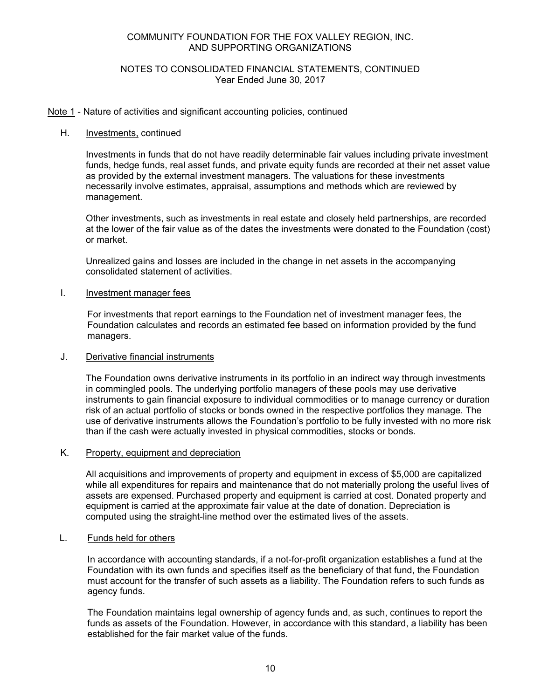# NOTES TO CONSOLIDATED FINANCIAL STATEMENTS, CONTINUED Year Ended June 30, 2017

## Note 1 - Nature of activities and significant accounting policies, continued

#### H. Investments, continued

Investments in funds that do not have readily determinable fair values including private investment funds, hedge funds, real asset funds, and private equity funds are recorded at their net asset value as provided by the external investment managers. The valuations for these investments necessarily involve estimates, appraisal, assumptions and methods which are reviewed by management.

Other investments, such as investments in real estate and closely held partnerships, are recorded at the lower of the fair value as of the dates the investments were donated to the Foundation (cost) or market.

Unrealized gains and losses are included in the change in net assets in the accompanying consolidated statement of activities.

### I. Investment manager fees

For investments that report earnings to the Foundation net of investment manager fees, the Foundation calculates and records an estimated fee based on information provided by the fund managers.

#### J. Derivative financial instruments

The Foundation owns derivative instruments in its portfolio in an indirect way through investments in commingled pools. The underlying portfolio managers of these pools may use derivative instruments to gain financial exposure to individual commodities or to manage currency or duration risk of an actual portfolio of stocks or bonds owned in the respective portfolios they manage. The use of derivative instruments allows the Foundation's portfolio to be fully invested with no more risk than if the cash were actually invested in physical commodities, stocks or bonds.

## K. Property, equipment and depreciation

 All acquisitions and improvements of property and equipment in excess of \$5,000 are capitalized while all expenditures for repairs and maintenance that do not materially prolong the useful lives of assets are expensed. Purchased property and equipment is carried at cost. Donated property and equipment is carried at the approximate fair value at the date of donation. Depreciation is computed using the straight-line method over the estimated lives of the assets.

# L. Funds held for others

In accordance with accounting standards, if a not-for-profit organization establishes a fund at the Foundation with its own funds and specifies itself as the beneficiary of that fund, the Foundation must account for the transfer of such assets as a liability. The Foundation refers to such funds as agency funds.

The Foundation maintains legal ownership of agency funds and, as such, continues to report the funds as assets of the Foundation. However, in accordance with this standard, a liability has been established for the fair market value of the funds.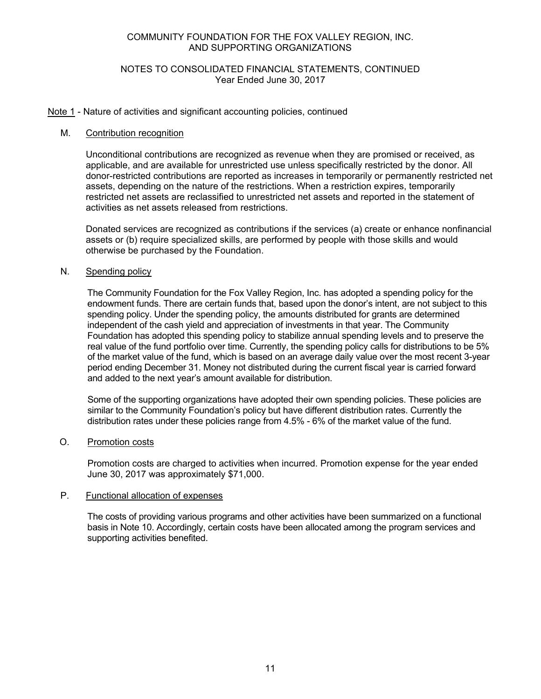# NOTES TO CONSOLIDATED FINANCIAL STATEMENTS, CONTINUED Year Ended June 30, 2017

## Note 1 - Nature of activities and significant accounting policies, continued

#### M. Contribution recognition

Unconditional contributions are recognized as revenue when they are promised or received, as applicable, and are available for unrestricted use unless specifically restricted by the donor. All donor-restricted contributions are reported as increases in temporarily or permanently restricted net assets, depending on the nature of the restrictions. When a restriction expires, temporarily restricted net assets are reclassified to unrestricted net assets and reported in the statement of activities as net assets released from restrictions.

Donated services are recognized as contributions if the services (a) create or enhance nonfinancial assets or (b) require specialized skills, are performed by people with those skills and would otherwise be purchased by the Foundation.

## N. Spending policy

The Community Foundation for the Fox Valley Region, Inc. has adopted a spending policy for the endowment funds. There are certain funds that, based upon the donor's intent, are not subject to this spending policy. Under the spending policy, the amounts distributed for grants are determined independent of the cash yield and appreciation of investments in that year. The Community Foundation has adopted this spending policy to stabilize annual spending levels and to preserve the real value of the fund portfolio over time. Currently, the spending policy calls for distributions to be 5% of the market value of the fund, which is based on an average daily value over the most recent 3-year period ending December 31. Money not distributed during the current fiscal year is carried forward and added to the next year's amount available for distribution.

Some of the supporting organizations have adopted their own spending policies. These policies are similar to the Community Foundation's policy but have different distribution rates. Currently the distribution rates under these policies range from 4.5% - 6% of the market value of the fund.

# O. Promotion costs

 Promotion costs are charged to activities when incurred. Promotion expense for the year ended June 30, 2017 was approximately \$71,000.

#### P. Functional allocation of expenses

The costs of providing various programs and other activities have been summarized on a functional basis in Note 10. Accordingly, certain costs have been allocated among the program services and supporting activities benefited.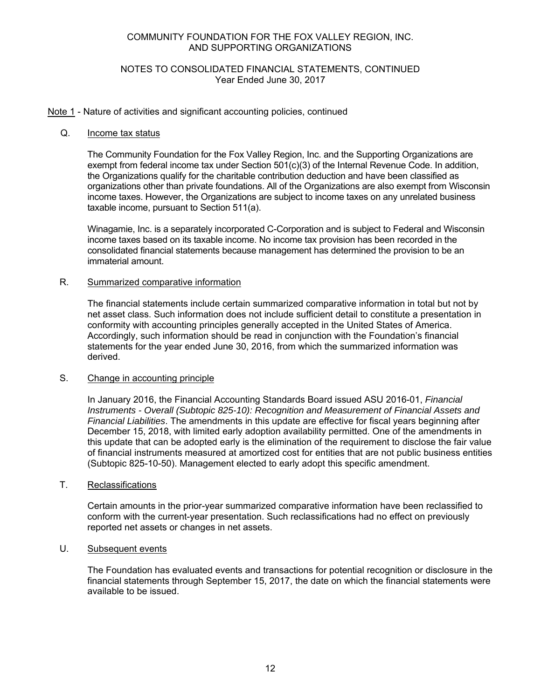# NOTES TO CONSOLIDATED FINANCIAL STATEMENTS, CONTINUED Year Ended June 30, 2017

# Note 1 - Nature of activities and significant accounting policies, continued

#### Q. Income tax status

The Community Foundation for the Fox Valley Region, Inc. and the Supporting Organizations are exempt from federal income tax under Section 501(c)(3) of the Internal Revenue Code. In addition, the Organizations qualify for the charitable contribution deduction and have been classified as organizations other than private foundations. All of the Organizations are also exempt from Wisconsin income taxes. However, the Organizations are subject to income taxes on any unrelated business taxable income, pursuant to Section 511(a).

Winagamie, Inc. is a separately incorporated C-Corporation and is subject to Federal and Wisconsin income taxes based on its taxable income. No income tax provision has been recorded in the consolidated financial statements because management has determined the provision to be an immaterial amount.

## R. Summarized comparative information

 The financial statements include certain summarized comparative information in total but not by net asset class. Such information does not include sufficient detail to constitute a presentation in conformity with accounting principles generally accepted in the United States of America. Accordingly, such information should be read in conjunction with the Foundation's financial statements for the year ended June 30, 2016, from which the summarized information was derived.

## S. Change in accounting principle

 In January 2016, the Financial Accounting Standards Board issued ASU 2016-01, *Financial Instruments - Overall (Subtopic 825-10): Recognition and Measurement of Financial Assets and Financial Liabilities*. The amendments in this update are effective for fiscal years beginning after December 15, 2018, with limited early adoption availability permitted. One of the amendments in this update that can be adopted early is the elimination of the requirement to disclose the fair value of financial instruments measured at amortized cost for entities that are not public business entities (Subtopic 825-10-50). Management elected to early adopt this specific amendment.

### T. Reclassifications

 Certain amounts in the prior-year summarized comparative information have been reclassified to conform with the current-year presentation. Such reclassifications had no effect on previously reported net assets or changes in net assets.

#### U. Subsequent events

 The Foundation has evaluated events and transactions for potential recognition or disclosure in the financial statements through September 15, 2017, the date on which the financial statements were available to be issued.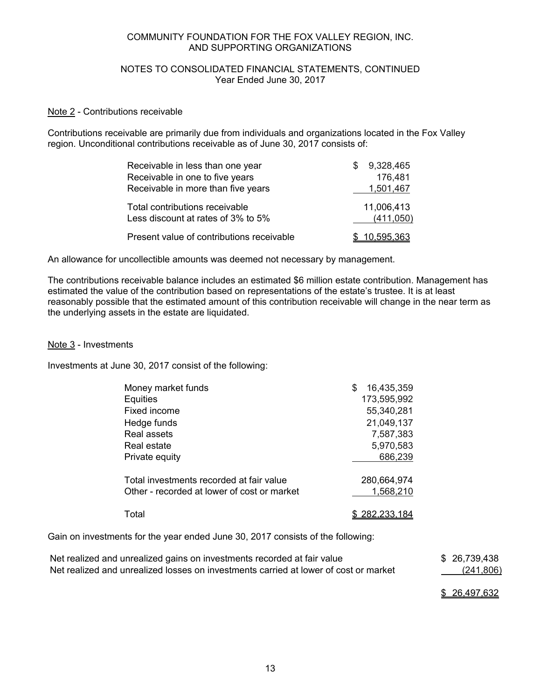# NOTES TO CONSOLIDATED FINANCIAL STATEMENTS, CONTINUED Year Ended June 30, 2017

# Note 2 - Contributions receivable

Contributions receivable are primarily due from individuals and organizations located in the Fox Valley region. Unconditional contributions receivable as of June 30, 2017 consists of:

| Receivable in less than one year          | 9,328,465    |
|-------------------------------------------|--------------|
| Receivable in one to five years           | 176,481      |
| Receivable in more than five years        | 1,501,467    |
| Total contributions receivable            | 11,006,413   |
| Less discount at rates of 3% to 5%        | (411,050)    |
| Present value of contributions receivable | \$10,595,363 |

An allowance for uncollectible amounts was deemed not necessary by management.

The contributions receivable balance includes an estimated \$6 million estate contribution. Management has estimated the value of the contribution based on representations of the estate's trustee. It is at least reasonably possible that the estimated amount of this contribution receivable will change in the near term as the underlying assets in the estate are liquidated.

## Note 3 - Investments

Investments at June 30, 2017 consist of the following:

| Money market funds                          | S | 16,435,359           |
|---------------------------------------------|---|----------------------|
| Equities                                    |   | 173,595,992          |
| Fixed income                                |   | 55,340,281           |
| Hedge funds                                 |   | 21,049,137           |
| Real assets                                 |   | 7,587,383            |
| Real estate                                 |   | 5,970,583            |
| Private equity                              |   | 686,239              |
| Total investments recorded at fair value    |   | 280,664,974          |
| Other - recorded at lower of cost or market |   | 1,568,210            |
| Total                                       |   | <u>\$282,233,184</u> |

Gain on investments for the year ended June 30, 2017 consists of the following:

| Net realized and unrealized gains on investments recorded at fair value              | \$26,739,438 |
|--------------------------------------------------------------------------------------|--------------|
| Net realized and unrealized losses on investments carried at lower of cost or market | (241,806)    |

\$ 26,497,632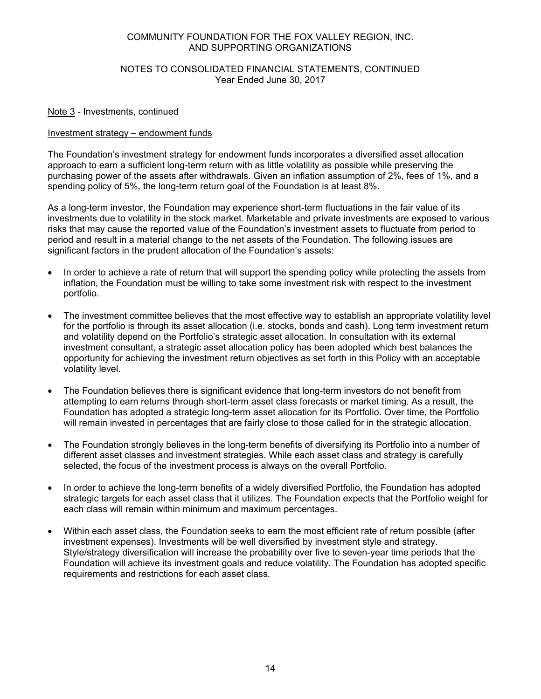# NOTES TO CONSOLIDATED FINANCIAL STATEMENTS, CONTINUED Year Ended June 30, 2017

## Note 3 - Investments, continued

## Investment strategy – endowment funds

The Foundation's investment strategy for endowment funds incorporates a diversified asset allocation approach to earn a sufficient long-term return with as little volatility as possible while preserving the purchasing power of the assets after withdrawals. Given an inflation assumption of 2%, fees of 1%, and a spending policy of 5%, the long-term return goal of the Foundation is at least 8%.

As a long-term investor, the Foundation may experience short-term fluctuations in the fair value of its investments due to volatility in the stock market. Marketable and private investments are exposed to various risks that may cause the reported value of the Foundation's investment assets to fluctuate from period to period and result in a material change to the net assets of the Foundation. The following issues are significant factors in the prudent allocation of the Foundation's assets:

- In order to achieve a rate of return that will support the spending policy while protecting the assets from inflation, the Foundation must be willing to take some investment risk with respect to the investment portfolio.
- The investment committee believes that the most effective way to establish an appropriate volatility level for the portfolio is through its asset allocation (i.e. stocks, bonds and cash). Long term investment return and volatility depend on the Portfolio's strategic asset allocation. In consultation with its external investment consultant, a strategic asset allocation policy has been adopted which best balances the opportunity for achieving the investment return objectives as set forth in this Policy with an acceptable volatility level.
- The Foundation believes there is significant evidence that long-term investors do not benefit from attempting to earn returns through short-term asset class forecasts or market timing. As a result, the Foundation has adopted a strategic long-term asset allocation for its Portfolio. Over time, the Portfolio will remain invested in percentages that are fairly close to those called for in the strategic allocation.
- The Foundation strongly believes in the long-term benefits of diversifying its Portfolio into a number of different asset classes and investment strategies. While each asset class and strategy is carefully selected, the focus of the investment process is always on the overall Portfolio.
- In order to achieve the long-term benefits of a widely diversified Portfolio, the Foundation has adopted strategic targets for each asset class that it utilizes. The Foundation expects that the Portfolio weight for each class will remain within minimum and maximum percentages.
- Within each asset class, the Foundation seeks to earn the most efficient rate of return possible (after investment expenses). Investments will be well diversified by investment style and strategy. Style/strategy diversification will increase the probability over five to seven-year time periods that the Foundation will achieve its investment goals and reduce volatility. The Foundation has adopted specific requirements and restrictions for each asset class.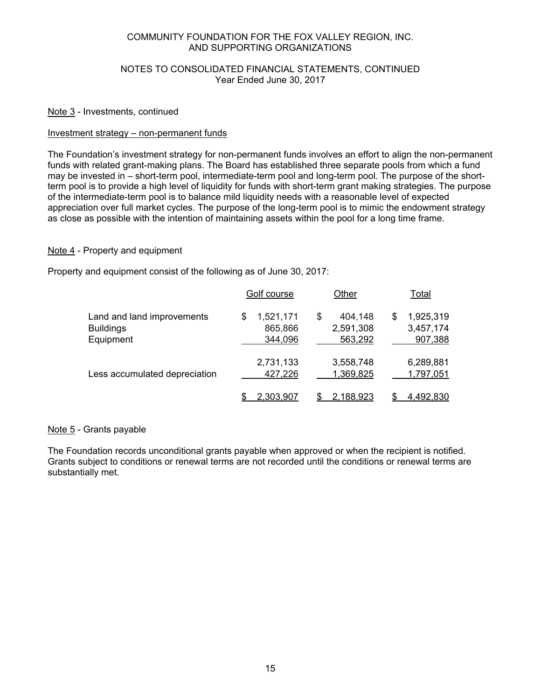# NOTES TO CONSOLIDATED FINANCIAL STATEMENTS, CONTINUED Year Ended June 30, 2017

## Note 3 - Investments, continued

## Investment strategy – non-permanent funds

The Foundation's investment strategy for non-permanent funds involves an effort to align the non-permanent funds with related grant-making plans. The Board has established three separate pools from which a fund may be invested in – short-term pool, intermediate-term pool and long-term pool. The purpose of the shortterm pool is to provide a high level of liquidity for funds with short-term grant making strategies. The purpose of the intermediate-term pool is to balance mild liquidity needs with a reasonable level of expected appreciation over full market cycles. The purpose of the long-term pool is to mimic the endowment strategy as close as possible with the intention of maintaining assets within the pool for a long time frame.

# Note 4 - Property and equipment

Property and equipment consist of the following as of June 30, 2017:

|                                                             | Golf course                           | Other                                 | Total                                  |
|-------------------------------------------------------------|---------------------------------------|---------------------------------------|----------------------------------------|
| Land and land improvements<br><b>Buildings</b><br>Equipment | 1,521,171<br>\$<br>865,866<br>344,096 | 404,148<br>\$<br>2,591,308<br>563,292 | 1,925,319<br>S<br>3,457,174<br>907,388 |
| Less accumulated depreciation                               | 2,731,133<br>427,226                  | 3,558,748<br>1,369,825                | 6,289,881<br>1,797,051                 |
|                                                             | 2,303,907                             | 2,188,923                             | 4,492,830                              |

# Note 5 - Grants payable

The Foundation records unconditional grants payable when approved or when the recipient is notified. Grants subject to conditions or renewal terms are not recorded until the conditions or renewal terms are substantially met.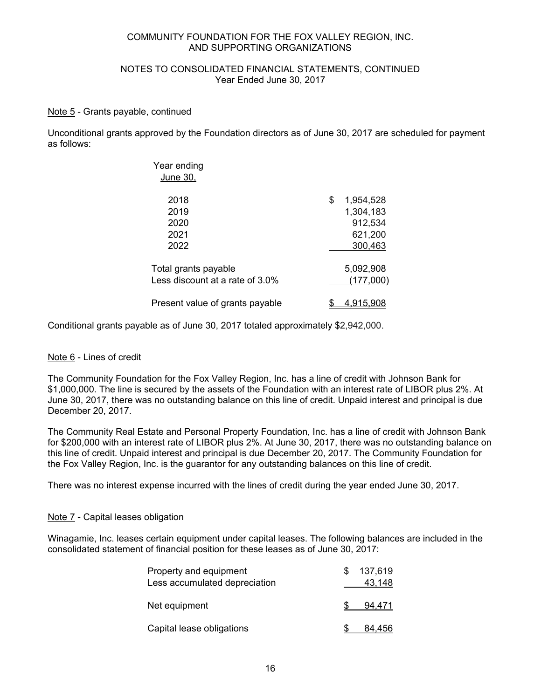# NOTES TO CONSOLIDATED FINANCIAL STATEMENTS, CONTINUED Year Ended June 30, 2017

## Note 5 - Grants payable, continued

Unconditional grants approved by the Foundation directors as of June 30, 2017 are scheduled for payment as follows:

| Year ending<br>June 30,            |                 |
|------------------------------------|-----------------|
| 2018                               | \$<br>1,954,528 |
| 2019                               | 1,304,183       |
| 2020                               | 912,534         |
| 2021                               | 621,200         |
| 2022                               | 300,463         |
| Total grants payable               | 5,092,908       |
| Less discount at a rate of $3.0\%$ | (177,000)       |
| Present value of grants payable    | 4.915.9         |

Conditional grants payable as of June 30, 2017 totaled approximately \$2,942,000.

# Note 6 - Lines of credit

The Community Foundation for the Fox Valley Region, Inc. has a line of credit with Johnson Bank for \$1,000,000. The line is secured by the assets of the Foundation with an interest rate of LIBOR plus 2%. At June 30, 2017, there was no outstanding balance on this line of credit. Unpaid interest and principal is due December 20, 2017.

The Community Real Estate and Personal Property Foundation, Inc. has a line of credit with Johnson Bank for \$200,000 with an interest rate of LIBOR plus 2%. At June 30, 2017, there was no outstanding balance on this line of credit. Unpaid interest and principal is due December 20, 2017. The Community Foundation for the Fox Valley Region, Inc. is the guarantor for any outstanding balances on this line of credit.

There was no interest expense incurred with the lines of credit during the year ended June 30, 2017.

#### Note 7 - Capital leases obligation

Winagamie, Inc. leases certain equipment under capital leases. The following balances are included in the consolidated statement of financial position for these leases as of June 30, 2017:

| Property and equipment<br>Less accumulated depreciation | S | 137,619<br>43.148 |
|---------------------------------------------------------|---|-------------------|
| Net equipment                                           |   | 94.471            |
| Capital lease obligations                               |   | 84,456            |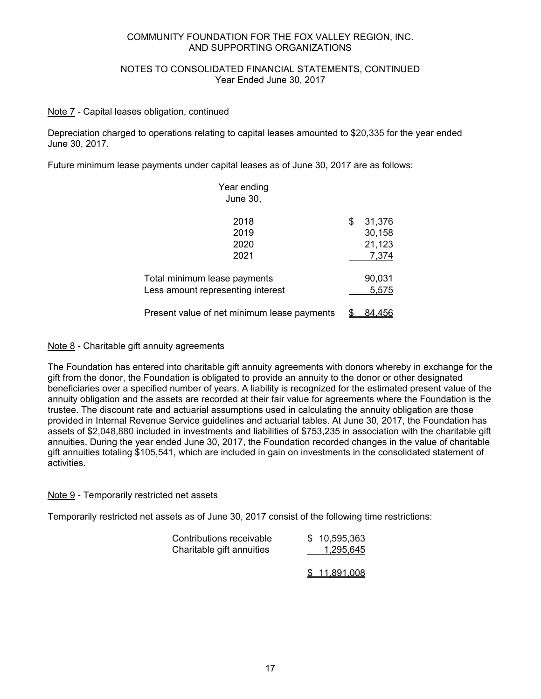# NOTES TO CONSOLIDATED FINANCIAL STATEMENTS, CONTINUED Year Ended June 30, 2017

# Note 7 - Capital leases obligation, continued

Depreciation charged to operations relating to capital leases amounted to \$20,335 for the year ended June 30, 2017.

Future minimum lease payments under capital leases as of June 30, 2017 are as follows:

| Year ending<br><b>June 30,</b>                                    |                                           |
|-------------------------------------------------------------------|-------------------------------------------|
| 2018<br>2019<br>2020<br>2021                                      | \$<br>31,376<br>30,158<br>21,123<br>7,374 |
| Total minimum lease payments<br>Less amount representing interest | 90,031<br>5,575                           |
| Present value of net minimum lease payments                       | 84.456                                    |

Note 8 - Charitable gift annuity agreements

The Foundation has entered into charitable gift annuity agreements with donors whereby in exchange for the gift from the donor, the Foundation is obligated to provide an annuity to the donor or other designated beneficiaries over a specified number of years. A liability is recognized for the estimated present value of the annuity obligation and the assets are recorded at their fair value for agreements where the Foundation is the trustee. The discount rate and actuarial assumptions used in calculating the annuity obligation are those provided in Internal Revenue Service guidelines and actuarial tables. At June 30, 2017, the Foundation has assets of \$2,048,880 included in investments and liabilities of \$753,235 in association with the charitable gift annuities. During the year ended June 30, 2017, the Foundation recorded changes in the value of charitable gift annuities totaling \$105,541, which are included in gain on investments in the consolidated statement of activities.

Note 9 - Temporarily restricted net assets

Temporarily restricted net assets as of June 30, 2017 consist of the following time restrictions:

| Contributions receivable  | \$10,595,363 |
|---------------------------|--------------|
| Charitable gift annuities | 1,295,645    |
|                           |              |

\$ 11,891,008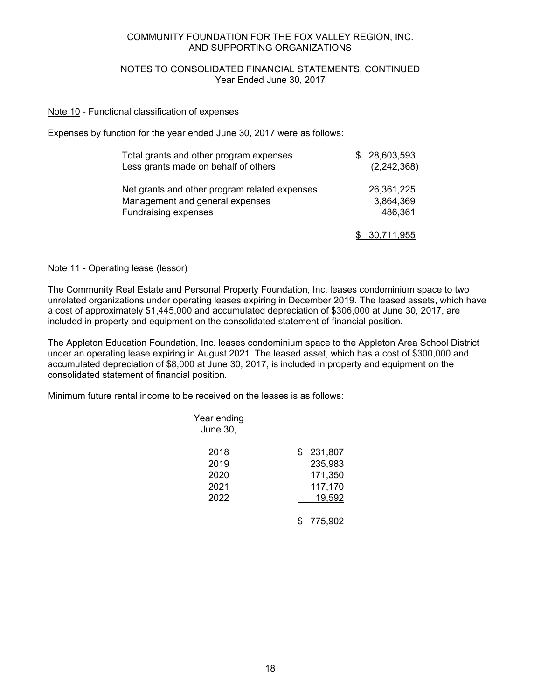# NOTES TO CONSOLIDATED FINANCIAL STATEMENTS, CONTINUED Year Ended June 30, 2017

# Note 10 - Functional classification of expenses

Expenses by function for the year ended June 30, 2017 were as follows:

| Total grants and other program expenses       | \$28,603,593        |
|-----------------------------------------------|---------------------|
| Less grants made on behalf of others          | (2, 242, 368)       |
| Net grants and other program related expenses | 26,361,225          |
| Management and general expenses               | 3,864,369           |
| Fundraising expenses                          | 486,361             |
|                                               | <u>. 30.711.955</u> |

# Note 11 - Operating lease (lessor)

The Community Real Estate and Personal Property Foundation, Inc. leases condominium space to two unrelated organizations under operating leases expiring in December 2019. The leased assets, which have a cost of approximately \$1,445,000 and accumulated depreciation of \$306,000 at June 30, 2017, are included in property and equipment on the consolidated statement of financial position.

The Appleton Education Foundation, Inc. leases condominium space to the Appleton Area School District under an operating lease expiring in August 2021. The leased asset, which has a cost of \$300,000 and accumulated depreciation of \$8,000 at June 30, 2017, is included in property and equipment on the consolidated statement of financial position.

Minimum future rental income to be received on the leases is as follows:

| Year ending<br><b>June 30,</b> |               |
|--------------------------------|---------------|
| 2018                           | \$<br>231,807 |
| 2019                           | 235,983       |
| 2020                           | 171,350       |
| 2021                           | 117,170       |
| 2022                           | 19,592        |
|                                | 775.9         |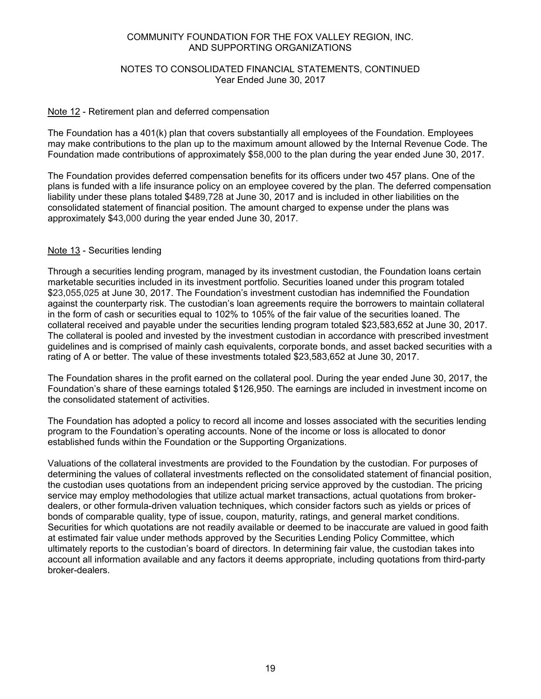# NOTES TO CONSOLIDATED FINANCIAL STATEMENTS, CONTINUED Year Ended June 30, 2017

# Note 12 - Retirement plan and deferred compensation

The Foundation has a 401(k) plan that covers substantially all employees of the Foundation. Employees may make contributions to the plan up to the maximum amount allowed by the Internal Revenue Code. The Foundation made contributions of approximately \$58,000 to the plan during the year ended June 30, 2017.

The Foundation provides deferred compensation benefits for its officers under two 457 plans. One of the plans is funded with a life insurance policy on an employee covered by the plan. The deferred compensation liability under these plans totaled \$489,728 at June 30, 2017 and is included in other liabilities on the consolidated statement of financial position. The amount charged to expense under the plans was approximately \$43,000 during the year ended June 30, 2017.

# Note 13 - Securities lending

Through a securities lending program, managed by its investment custodian, the Foundation loans certain marketable securities included in its investment portfolio. Securities loaned under this program totaled \$23,055,025 at June 30, 2017. The Foundation's investment custodian has indemnified the Foundation against the counterparty risk. The custodian's loan agreements require the borrowers to maintain collateral in the form of cash or securities equal to 102% to 105% of the fair value of the securities loaned. The collateral received and payable under the securities lending program totaled \$23,583,652 at June 30, 2017. The collateral is pooled and invested by the investment custodian in accordance with prescribed investment guidelines and is comprised of mainly cash equivalents, corporate bonds, and asset backed securities with a rating of A or better. The value of these investments totaled \$23,583,652 at June 30, 2017.

The Foundation shares in the profit earned on the collateral pool. During the year ended June 30, 2017, the Foundation's share of these earnings totaled \$126,950. The earnings are included in investment income on the consolidated statement of activities.

The Foundation has adopted a policy to record all income and losses associated with the securities lending program to the Foundation's operating accounts. None of the income or loss is allocated to donor established funds within the Foundation or the Supporting Organizations.

Valuations of the collateral investments are provided to the Foundation by the custodian. For purposes of determining the values of collateral investments reflected on the consolidated statement of financial position, the custodian uses quotations from an independent pricing service approved by the custodian. The pricing service may employ methodologies that utilize actual market transactions, actual quotations from brokerdealers, or other formula-driven valuation techniques, which consider factors such as yields or prices of bonds of comparable quality, type of issue, coupon, maturity, ratings, and general market conditions. Securities for which quotations are not readily available or deemed to be inaccurate are valued in good faith at estimated fair value under methods approved by the Securities Lending Policy Committee, which ultimately reports to the custodian's board of directors. In determining fair value, the custodian takes into account all information available and any factors it deems appropriate, including quotations from third-party broker-dealers.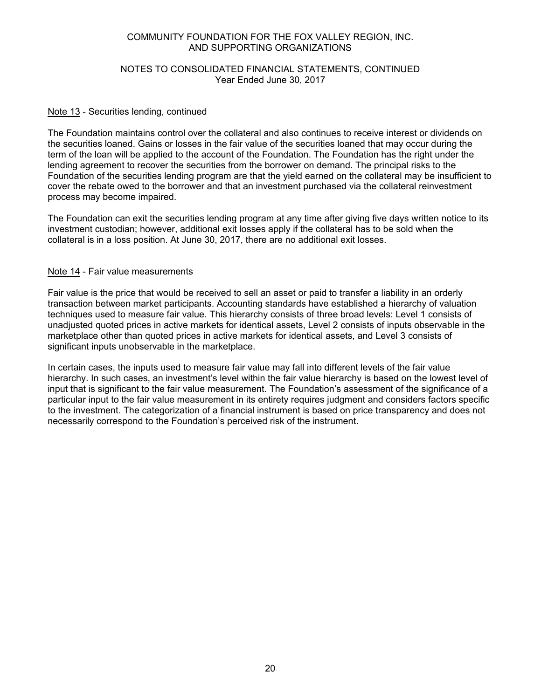# NOTES TO CONSOLIDATED FINANCIAL STATEMENTS, CONTINUED Year Ended June 30, 2017

## Note 13 - Securities lending, continued

The Foundation maintains control over the collateral and also continues to receive interest or dividends on the securities loaned. Gains or losses in the fair value of the securities loaned that may occur during the term of the loan will be applied to the account of the Foundation. The Foundation has the right under the lending agreement to recover the securities from the borrower on demand. The principal risks to the Foundation of the securities lending program are that the yield earned on the collateral may be insufficient to cover the rebate owed to the borrower and that an investment purchased via the collateral reinvestment process may become impaired.

The Foundation can exit the securities lending program at any time after giving five days written notice to its investment custodian; however, additional exit losses apply if the collateral has to be sold when the collateral is in a loss position. At June 30, 2017, there are no additional exit losses.

# Note 14 - Fair value measurements

Fair value is the price that would be received to sell an asset or paid to transfer a liability in an orderly transaction between market participants. Accounting standards have established a hierarchy of valuation techniques used to measure fair value. This hierarchy consists of three broad levels: Level 1 consists of unadjusted quoted prices in active markets for identical assets, Level 2 consists of inputs observable in the marketplace other than quoted prices in active markets for identical assets, and Level 3 consists of significant inputs unobservable in the marketplace.

In certain cases, the inputs used to measure fair value may fall into different levels of the fair value hierarchy. In such cases, an investment's level within the fair value hierarchy is based on the lowest level of input that is significant to the fair value measurement. The Foundation's assessment of the significance of a particular input to the fair value measurement in its entirety requires judgment and considers factors specific to the investment. The categorization of a financial instrument is based on price transparency and does not necessarily correspond to the Foundation's perceived risk of the instrument.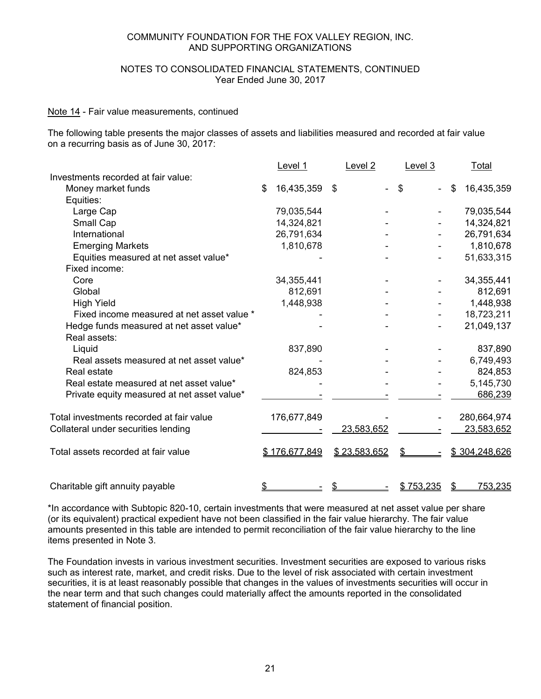# NOTES TO CONSOLIDATED FINANCIAL STATEMENTS, CONTINUED Year Ended June 30, 2017

## Note 14 - Fair value measurements, continued

The following table presents the major classes of assets and liabilities measured and recorded at fair value on a recurring basis as of June 30, 2017:

|                                             | Level 1          | Level 2      | Level 3   |    | Total          |
|---------------------------------------------|------------------|--------------|-----------|----|----------------|
| Investments recorded at fair value:         |                  |              |           |    |                |
| Money market funds                          | \$<br>16,435,359 | \$<br>-      | \$        | \$ | 16,435,359     |
| Equities:                                   |                  |              |           |    |                |
| Large Cap                                   | 79,035,544       |              |           |    | 79,035,544     |
| Small Cap                                   | 14,324,821       |              |           |    | 14,324,821     |
| International                               | 26,791,634       |              |           |    | 26,791,634     |
| <b>Emerging Markets</b>                     | 1,810,678        |              |           |    | 1,810,678      |
| Equities measured at net asset value*       |                  |              |           |    | 51,633,315     |
| Fixed income:                               |                  |              |           |    |                |
| Core                                        | 34,355,441       |              |           |    | 34,355,441     |
| Global                                      | 812,691          |              |           |    | 812,691        |
| <b>High Yield</b>                           | 1,448,938        |              |           |    | 1,448,938      |
| Fixed income measured at net asset value *  |                  |              |           |    | 18,723,211     |
| Hedge funds measured at net asset value*    |                  |              |           |    | 21,049,137     |
| Real assets:                                |                  |              |           |    |                |
| Liquid                                      | 837,890          |              |           |    | 837,890        |
| Real assets measured at net asset value*    |                  |              |           |    | 6,749,493      |
| Real estate                                 | 824,853          |              |           |    | 824,853        |
| Real estate measured at net asset value*    |                  |              |           |    | 5,145,730      |
| Private equity measured at net asset value* |                  |              |           |    | 686,239        |
| Total investments recorded at fair value    | 176,677,849      |              |           |    | 280,664,974    |
| Collateral under securities lending         |                  | 23,583,652   |           |    | 23,583,652     |
| Total assets recorded at fair value         | \$176,677,849    | \$23,583,652 |           |    | \$304,248,626  |
| Charitable gift annuity payable             |                  | \$           | \$753,235 | S  | <u>753.235</u> |

\*In accordance with Subtopic 820-10, certain investments that were measured at net asset value per share (or its equivalent) practical expedient have not been classified in the fair value hierarchy. The fair value amounts presented in this table are intended to permit reconciliation of the fair value hierarchy to the line items presented in Note 3.

The Foundation invests in various investment securities. Investment securities are exposed to various risks such as interest rate, market, and credit risks. Due to the level of risk associated with certain investment securities, it is at least reasonably possible that changes in the values of investments securities will occur in the near term and that such changes could materially affect the amounts reported in the consolidated statement of financial position.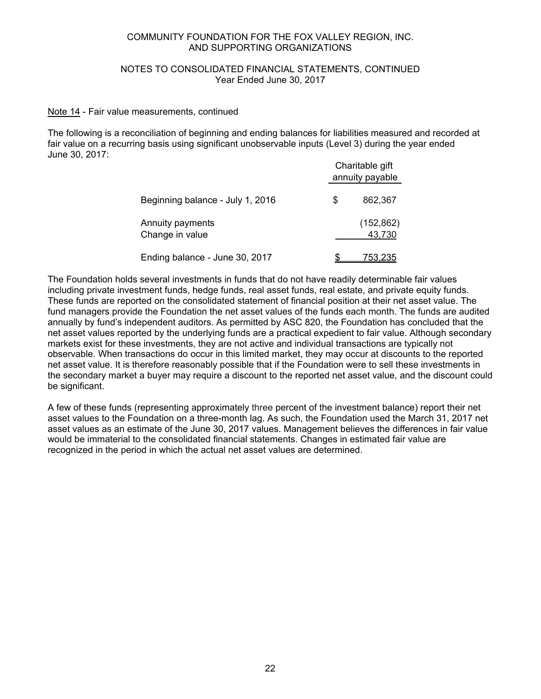# NOTES TO CONSOLIDATED FINANCIAL STATEMENTS, CONTINUED Year Ended June 30, 2017

## Note 14 - Fair value measurements, continued

The following is a reconciliation of beginning and ending balances for liabilities measured and recorded at fair value on a recurring basis using significant unobservable inputs (Level 3) during the year ended June 30, 2017:

|                                     |   | Charitable gift<br>annuity payable |  |  |  |
|-------------------------------------|---|------------------------------------|--|--|--|
| Beginning balance - July 1, 2016    | S | 862,367                            |  |  |  |
| Annuity payments<br>Change in value |   | (152, 862)<br>43,730               |  |  |  |
| Ending balance - June 30, 2017      |   | 753.235                            |  |  |  |

The Foundation holds several investments in funds that do not have readily determinable fair values including private investment funds, hedge funds, real asset funds, real estate, and private equity funds. These funds are reported on the consolidated statement of financial position at their net asset value. The fund managers provide the Foundation the net asset values of the funds each month. The funds are audited annually by fund's independent auditors. As permitted by ASC 820, the Foundation has concluded that the net asset values reported by the underlying funds are a practical expedient to fair value. Although secondary markets exist for these investments, they are not active and individual transactions are typically not observable. When transactions do occur in this limited market, they may occur at discounts to the reported net asset value. It is therefore reasonably possible that if the Foundation were to sell these investments in the secondary market a buyer may require a discount to the reported net asset value, and the discount could be significant.

A few of these funds (representing approximately three percent of the investment balance) report their net asset values to the Foundation on a three-month lag. As such, the Foundation used the March 31, 2017 net asset values as an estimate of the June 30, 2017 values. Management believes the differences in fair value would be immaterial to the consolidated financial statements. Changes in estimated fair value are recognized in the period in which the actual net asset values are determined.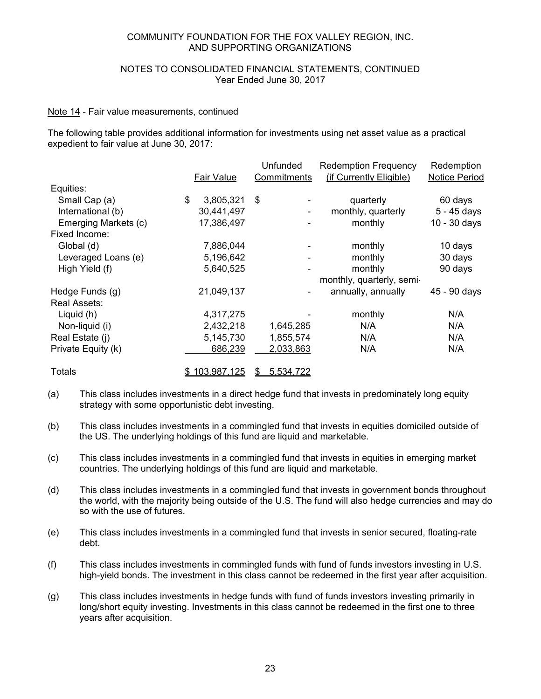# NOTES TO CONSOLIDATED FINANCIAL STATEMENTS, CONTINUED Year Ended June 30, 2017

## Note 14 - Fair value measurements, continued

The following table provides additional information for investments using net asset value as a practical expedient to fair value at June 30, 2017:

|                      |                 | Unfunded       | <b>Redemption Frequency</b> | Redemption           |
|----------------------|-----------------|----------------|-----------------------------|----------------------|
|                      | Fair Value      | Commitments    | (if Currently Eligible)     | <b>Notice Period</b> |
| Equities:            |                 |                |                             |                      |
| Small Cap (a)        | \$<br>3,805,321 | \$             | quarterly                   | 60 days              |
| International (b)    | 30,441,497      |                | monthly, quarterly          | 5 - 45 days          |
| Emerging Markets (c) | 17,386,497      |                | monthly                     | 10 - 30 days         |
| Fixed Income:        |                 |                |                             |                      |
| Global (d)           | 7,886,044       |                | monthly                     | 10 days              |
| Leveraged Loans (e)  | 5,196,642       |                | monthly                     | 30 days              |
| High Yield (f)       | 5,640,525       |                | monthly                     | 90 days              |
|                      |                 |                | monthly, quarterly, semi-   |                      |
| Hedge Funds (g)      | 21,049,137      |                | annually, annually          | 45 - 90 days         |
| Real Assets:         |                 |                |                             |                      |
| Liquid (h)           | 4,317,275       |                | monthly                     | N/A                  |
| Non-liquid (i)       | 2,432,218       | 1,645,285      | N/A                         | N/A                  |
| Real Estate (j)      | 5,145,730       | 1,855,574      | N/A                         | N/A                  |
| Private Equity (k)   | 686,239         | 2,033,863      | N/A                         | N/A                  |
| <b>Totals</b>        | \$103,987,125   | 5,534,722<br>S |                             |                      |

- (a) This class includes investments in a direct hedge fund that invests in predominately long equity strategy with some opportunistic debt investing.
- (b) This class includes investments in a commingled fund that invests in equities domiciled outside of the US. The underlying holdings of this fund are liquid and marketable.
- (c) This class includes investments in a commingled fund that invests in equities in emerging market countries. The underlying holdings of this fund are liquid and marketable.
- (d) This class includes investments in a commingled fund that invests in government bonds throughout the world, with the majority being outside of the U.S. The fund will also hedge currencies and may do so with the use of futures.
- (e) This class includes investments in a commingled fund that invests in senior secured, floating-rate debt.
- (f) This class includes investments in commingled funds with fund of funds investors investing in U.S. high-yield bonds. The investment in this class cannot be redeemed in the first year after acquisition.
- (g) This class includes investments in hedge funds with fund of funds investors investing primarily in long/short equity investing. Investments in this class cannot be redeemed in the first one to three years after acquisition.